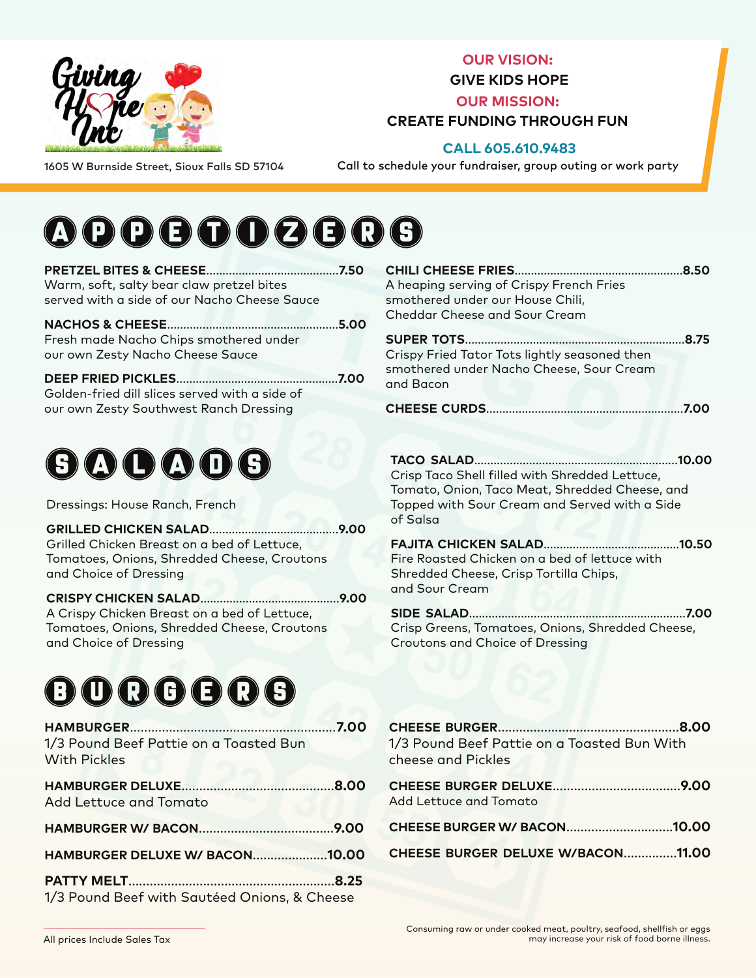

**OUR VISION:** 

**GIVE KIDS HOPE**

**OUR MISSION:** 

### **CREATE FUNDING THROUGH FUN**

### **CALL 605.610.9483**

1605 W Burnside Street, Sioux Falls SD 57104

Call to schedule your fundraiser, group outing or work party

# **A D O G O O G C 6**

| <b>PRETZEL BITES &amp; CHEESE</b><br>Warm, soft, salty bear claw pretzel bites              | .7.50 | C<br>А |
|---------------------------------------------------------------------------------------------|-------|--------|
| served with a side of our Nacho Cheese Sauce                                                |       | S      |
| <b>NACHOS &amp; CHEESE</b>                                                                  | .5.00 | C      |
| Fresh made Nacho Chips smothered under<br>our own Zesty Nacho Cheese Sauce                  |       | Ś<br>C |
| <b>DEEP FRIED PICKLES</b><br>Golden-fried dill slices served with a side of                 | 7.00  | S<br>d |
| our own Zesty Southwest Ranch Dressing                                                      |       | C      |
| 000000                                                                                      |       |        |
|                                                                                             |       |        |
| Dressings: House Ranch, French                                                              |       |        |
| <b>GRILLED CHICKEN SALAD</b>                                                                | 9.00  |        |
| Grilled Chicken Breast on a bed of Lettuce,<br>Tomatoes, Onions, Shredded Cheese, Croutons  |       |        |
| and Choice of Dressing                                                                      |       |        |
| CRISPY CHICKEN SALAD                                                                        | 9.00  |        |
| A Crispy Chicken Breast on a bed of Lettuce,<br>Tomatoes, Onions, Shredded Cheese, Croutons |       |        |
| and Choice of Dressing                                                                      |       |        |
|                                                                                             |       |        |

## **BOBGGGG**

| 1/3 Pound Beef Pattie on a Toasted Bun<br><b>With Pickles</b> |  |
|---------------------------------------------------------------|--|
| Add Lettuce and Tomato                                        |  |
|                                                               |  |
| <b>HAMBURGER DELUXE W/ BACON10.00</b>                         |  |
|                                                               |  |
| 1/3 Pound Beef with Sautéed Onions, & Cheese                  |  |

| A heaping serving of Crispy French Fries      |  |
|-----------------------------------------------|--|
| smothered under our House Chili,              |  |
| Cheddar Cheese and Sour Cream                 |  |
|                                               |  |
| Crispy Fried Tator Tots lightly seasoned then |  |
| smothered under Nacho Cheese, Sour Cream      |  |
| and Bacon                                     |  |

**CHEESE CURDS**.............................................................**7.00**

**TACO SALAD**...............................................................**10.00** Crisp Taco Shell filled with Shredded Lettuce, Tomato, Onion, Taco Meat, Shredded Cheese, and Topped with Sour Cream and Served with a Side of Salsa

**FAJITA CHICKEN SALAD**..........................................**10.50** Fire Roasted Chicken on a bed of lettuce with Shredded Cheese, Crisp Tortilla Chips, and Sour Cream

**SIDE SALAD**...................................................................**7.00** Crisp Greens, Tomatoes, Onions, Shredded Cheese, Croutons and Choice of Dressing

| 1/3 Pound Beef Pattie on a Toasted Bun With<br>cheese and Pickles |
|-------------------------------------------------------------------|
| Add Lettuce and Tomato                                            |
| CHEESE BURGER W/ BACON10.00                                       |
| CHEESE BURGER DELUXE W/BACON11.00                                 |
|                                                                   |

All prices Include Sales Tax